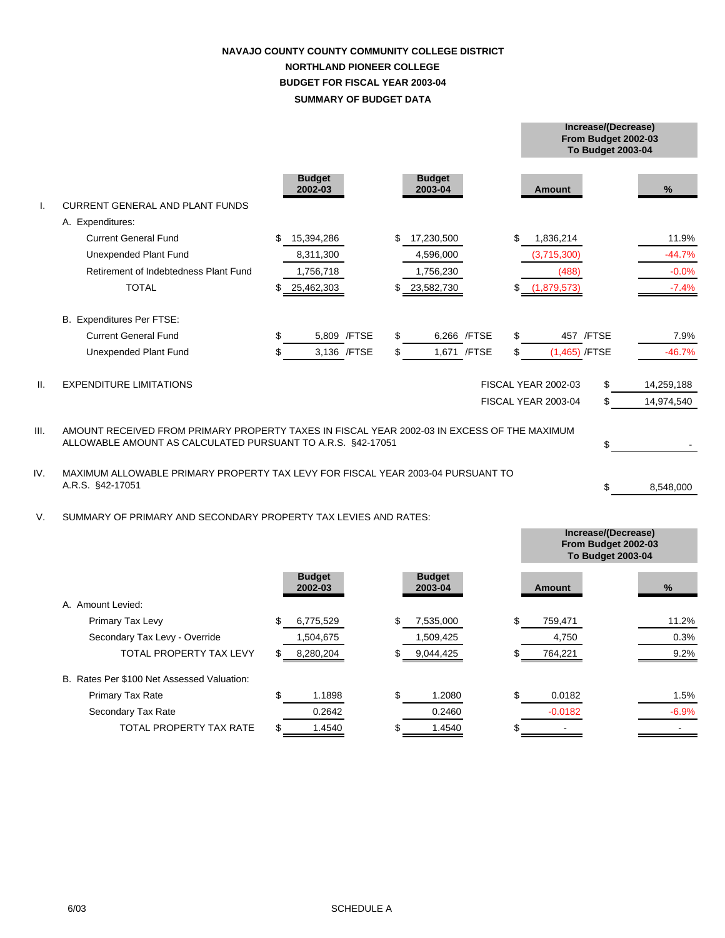## **SUMMARY OF BUDGET DATA NAVAJO COUNTY COUNTY COMMUNITY COLLEGE DISTRICT NORTHLAND PIONEER COLLEGE BUDGET FOR FISCAL YEAR 2003-04**

**Increase/(Decrease)**

|      |                                                                                                                                                            |    |                          |              |     |                          |              |    |                            | From Budget 2002-03<br><b>To Budget 2003-04</b> |            |  |
|------|------------------------------------------------------------------------------------------------------------------------------------------------------------|----|--------------------------|--------------|-----|--------------------------|--------------|----|----------------------------|-------------------------------------------------|------------|--|
|      |                                                                                                                                                            |    | <b>Budget</b><br>2002-03 |              |     | <b>Budget</b><br>2003-04 |              |    | Amount                     |                                                 | %          |  |
|      | <b>CURRENT GENERAL AND PLANT FUNDS</b>                                                                                                                     |    |                          |              |     |                          |              |    |                            |                                                 |            |  |
|      | A. Expenditures:                                                                                                                                           |    |                          |              |     |                          |              |    |                            |                                                 |            |  |
|      | <b>Current General Fund</b>                                                                                                                                | \$ | 15,394,286               |              |     | 17,230,500               |              | \$ | 1,836,214                  |                                                 | 11.9%      |  |
|      | <b>Unexpended Plant Fund</b>                                                                                                                               |    | 8,311,300                |              |     | 4,596,000                |              |    | (3,715,300)                |                                                 | $-44.7%$   |  |
|      | Retirement of Indebtedness Plant Fund                                                                                                                      |    | 1,756,718                |              |     | 1,756,230                |              |    | (488)                      |                                                 | $-0.0%$    |  |
|      | <b>TOTAL</b>                                                                                                                                               | \$ | 25,462,303               |              |     | 23,582,730               |              | \$ | (1,879,573)                |                                                 | $-7.4%$    |  |
|      | B. Expenditures Per FTSE:                                                                                                                                  |    |                          |              |     |                          |              |    |                            |                                                 |            |  |
|      | <b>Current General Fund</b>                                                                                                                                | \$ |                          | 5,809 / FTSE | \$  |                          | 6,266 /FTSE  | \$ |                            | 457 /FTSE                                       | 7.9%       |  |
|      | Unexpended Plant Fund                                                                                                                                      | \$ |                          | 3,136 / FTSE | \$. |                          | 1,671 / FTSE | \$ | $(1,465)$ /FTSE            |                                                 | $-46.7%$   |  |
| H.   | <b>EXPENDITURE LIMITATIONS</b>                                                                                                                             |    |                          |              |     |                          |              |    | <b>FISCAL YEAR 2002-03</b> | \$                                              | 14,259,188 |  |
|      |                                                                                                                                                            |    |                          |              |     |                          |              |    | FISCAL YEAR 2003-04        | \$                                              | 14,974,540 |  |
| III. | AMOUNT RECEIVED FROM PRIMARY PROPERTY TAXES IN FISCAL YEAR 2002-03 IN EXCESS OF THE MAXIMUM<br>ALLOWABLE AMOUNT AS CALCULATED PURSUANT TO A.R.S. §42-17051 |    |                          |              |     |                          |              |    |                            |                                                 |            |  |
| IV.  | MAXIMUM ALLOWABLE PRIMARY PROPERTY TAX LEVY FOR FISCAL YEAR 2003-04 PURSUANT TO<br>A.R.S. §42-17051                                                        |    |                          |              |     |                          |              |    |                            |                                                 | 8,548,000  |  |
| V.   | SUMMARY OF PRIMARY AND SECONDARY PROPERTY TAX LEVIES AND RATES:                                                                                            |    |                          |              |     |                          |              |    |                            | \$                                              |            |  |

|                                            |     |                          |     |                          |               | Increase/(Decrease)<br>From Budget 2002-03<br><b>To Budget 2003-04</b> |
|--------------------------------------------|-----|--------------------------|-----|--------------------------|---------------|------------------------------------------------------------------------|
|                                            |     | <b>Budget</b><br>2002-03 |     | <b>Budget</b><br>2003-04 | Amount        | $\frac{9}{6}$                                                          |
| A. Amount Levied:                          |     |                          |     |                          |               |                                                                        |
| Primary Tax Levy                           | \$  | 6,775,529                | \$  | 7,535,000                | \$<br>759,471 | 11.2%                                                                  |
| Secondary Tax Levy - Override              |     | 1,504,675                |     | 1,509,425                | 4,750         | 0.3%                                                                   |
| <b>TOTAL PROPERTY TAX LEVY</b>             | S.  | 8,280,204                | \$  | 9,044,425                | 764,221       | 9.2%                                                                   |
| B. Rates Per \$100 Net Assessed Valuation: |     |                          |     |                          |               |                                                                        |
| <b>Primary Tax Rate</b>                    | \$. | 1.1898                   | \$  | 1.2080                   | \$<br>0.0182  | 1.5%                                                                   |
| Secondary Tax Rate                         |     | 0.2642                   |     | 0.2460                   | $-0.0182$     | $-6.9%$                                                                |
| TOTAL PROPERTY TAX RATE                    | \$. | 1.4540                   | \$. | 1.4540                   |               |                                                                        |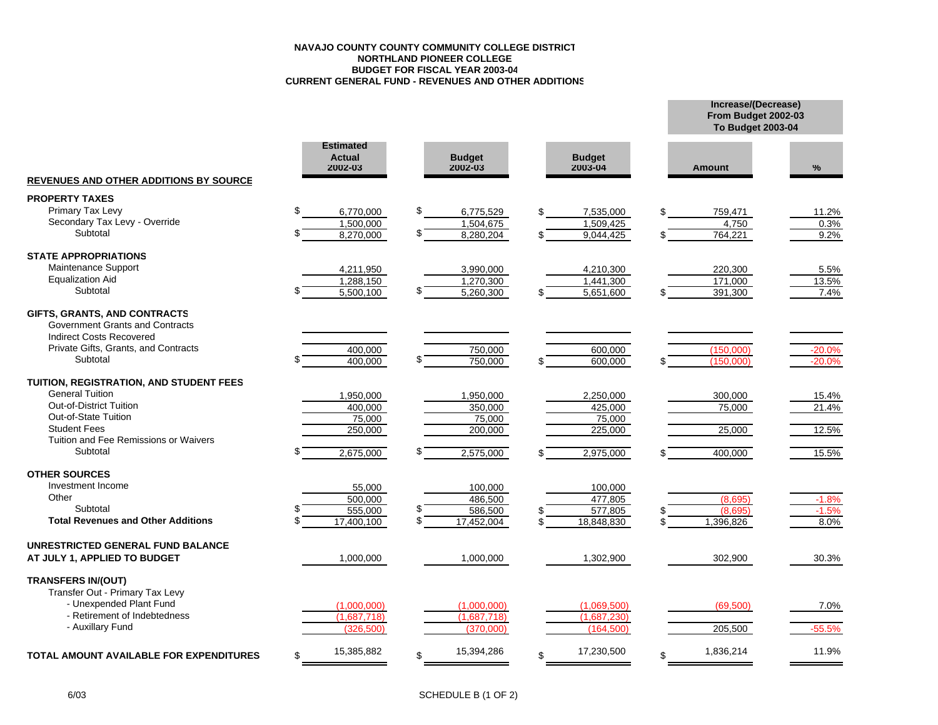#### **NAVAJO COUNTY COUNTY COMMUNITY COLLEGE DISTRICTNORTHLAND PIONEER COLLEGE BUDGET FOR FISCAL YEAR 2003-04 CURRENT GENERAL FUND - REVENUES AND OTHER ADDITIONS**

|                                                                                                                                                        |                                              |               |                          |                          | From Budget 2002-03<br><b>To Budget 2003-04</b> |                      |  |
|--------------------------------------------------------------------------------------------------------------------------------------------------------|----------------------------------------------|---------------|--------------------------|--------------------------|-------------------------------------------------|----------------------|--|
| <b>REVENUES AND OTHER ADDITIONS BY SOURCE</b>                                                                                                          | <b>Estimated</b><br><b>Actual</b><br>2002-03 |               | <b>Budget</b><br>2002-03 | <b>Budget</b><br>2003-04 | <b>Amount</b>                                   | $\%$                 |  |
| <b>PROPERTY TAXES</b>                                                                                                                                  |                                              |               |                          |                          |                                                 |                      |  |
| <b>Primary Tax Levy</b>                                                                                                                                | \$.<br>6,770,000                             | \$            | 6,775,529                | 7,535,000                | \$<br>759,471                                   | 11.2%                |  |
| Secondary Tax Levy - Override                                                                                                                          | 1,500,000                                    |               | 1,504,675                | 1,509,425                | 4,750                                           | 0.3%                 |  |
| Subtotal                                                                                                                                               | 8,270,000                                    | $\mathcal{L}$ | 8,280,204                | 9,044,425                | \$<br>764,221                                   | 9.2%                 |  |
| <b>STATE APPROPRIATIONS</b>                                                                                                                            |                                              |               |                          |                          |                                                 |                      |  |
| Maintenance Support                                                                                                                                    | 4,211,950                                    |               | 3,990,000                | 4,210,300                | 220,300                                         | 5.5%                 |  |
| <b>Equalization Aid</b>                                                                                                                                | 1,288,150                                    |               | 1,270,300                | 1,441,300                | 171,000                                         | 13.5%                |  |
| Subtotal                                                                                                                                               | 5,500,100                                    |               | 5,260,300                | 5,651,600                | 391,300                                         | 7.4%                 |  |
| GIFTS, GRANTS, AND CONTRACTS<br>Government Grants and Contracts<br><b>Indirect Costs Recovered</b><br>Private Gifts, Grants, and Contracts<br>Subtotal | 400,000<br>400,000                           |               | 750,000<br>750,000       | 600,000<br>600,000       | (150,000)<br>(150,000)                          | $-20.0%$<br>$-20.0%$ |  |
|                                                                                                                                                        |                                              |               |                          |                          |                                                 |                      |  |
| TUITION, REGISTRATION, AND STUDENT FEES                                                                                                                |                                              |               |                          |                          |                                                 |                      |  |
| <b>General Tuition</b>                                                                                                                                 | 1,950,000                                    |               | 1,950,000                | 2,250,000                | 300,000                                         | 15.4%                |  |
| Out-of-District Tuition                                                                                                                                | 400,000                                      |               | 350,000                  | 425,000                  | 75,000                                          | 21.4%                |  |
| Out-of-State Tuition                                                                                                                                   | 75,000                                       |               | 75,000                   | 75,000                   |                                                 |                      |  |
| <b>Student Fees</b>                                                                                                                                    | 250,000                                      |               | 200,000                  | 225,000                  | 25,000                                          | 12.5%                |  |
| Tuition and Fee Remissions or Waivers                                                                                                                  |                                              |               |                          |                          |                                                 |                      |  |
| Subtotal                                                                                                                                               | 2,675,000                                    |               | 2,575,000                | 2,975,000                | 400,000                                         | 15.5%                |  |
| <b>OTHER SOURCES</b>                                                                                                                                   |                                              |               |                          |                          |                                                 |                      |  |
| Investment Income                                                                                                                                      | 55,000                                       |               | 100,000                  | 100,000                  |                                                 |                      |  |
| Other                                                                                                                                                  | 500.000                                      |               | 486,500                  | 477.805                  | (8,695)                                         | $-1.8%$              |  |
| Subtotal                                                                                                                                               | 555,000                                      |               | 586,500                  | 577,805                  | (8.695)                                         | $-1.5%$              |  |
| <b>Total Revenues and Other Additions</b>                                                                                                              | 17,400,100                                   |               | 17,452,004               | 18,848,830               | 1,396,826                                       | 8.0%                 |  |
| UNRESTRICTED GENERAL FUND BALANCE                                                                                                                      |                                              |               |                          |                          |                                                 |                      |  |
| AT JULY 1, APPLIED TO BUDGET                                                                                                                           | 1,000,000                                    |               | 1,000,000                | 1,302,900                | 302,900                                         | 30.3%                |  |
| <b>TRANSFERS IN/(OUT)</b><br>Transfer Out - Primary Tax Levy                                                                                           |                                              |               |                          |                          |                                                 |                      |  |
| - Unexpended Plant Fund                                                                                                                                | (1,000,000)                                  |               | (1,000,000)              | (1,069,500)              | (69, 500)                                       | 7.0%                 |  |
| - Retirement of Indebtedness                                                                                                                           | (1,687,718)                                  |               | (1,687,718)              | (1,687,230)              |                                                 |                      |  |
| - Auxillary Fund                                                                                                                                       | (326, 500)                                   |               | (370.000)                | (164, 500)               | 205,500                                         | $-55.5%$             |  |
| <b>TOTAL AMOUNT AVAILABLE FOR EXPENDITURES</b>                                                                                                         | 15,385,882<br>\$                             | \$            | 15,394,286               | 17,230,500               | \$<br>1,836,214                                 | 11.9%                |  |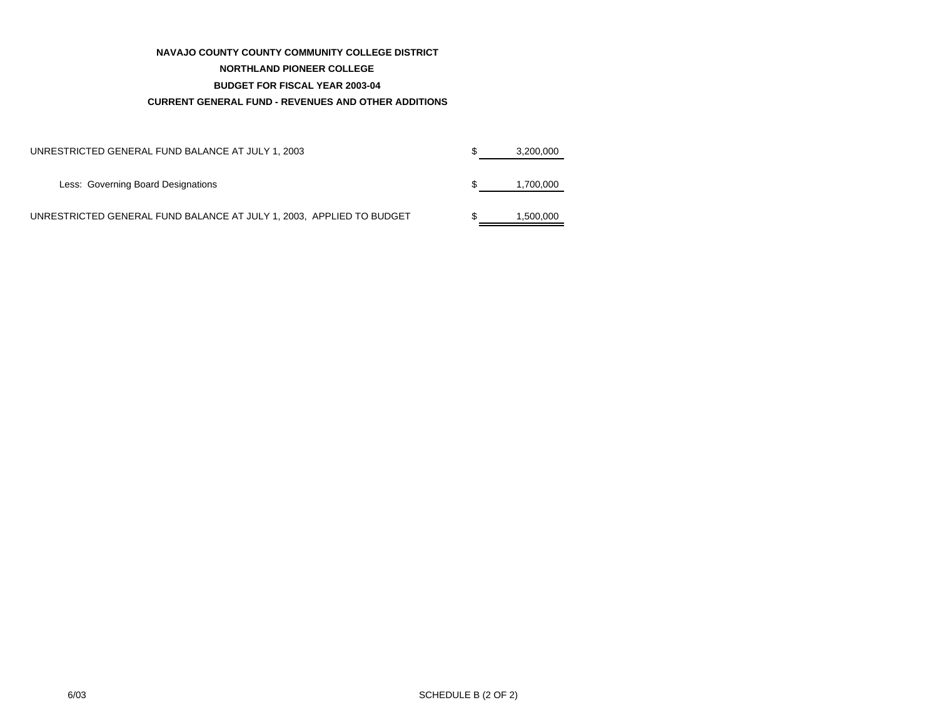#### **NAVAJO COUNTY COUNTY COMMUNITY COLLEGE DISTRICT**

#### **NORTHLAND PIONEER COLLEGE**

#### **BUDGET FOR FISCAL YEAR 2003-04**

#### **CURRENT GENERAL FUND - REVENUES AND OTHER ADDITIONS**

| UNRESTRICTED GENERAL FUND BALANCE AT JULY 1, 2003                    | 3.200.000 |
|----------------------------------------------------------------------|-----------|
| Less: Governing Board Designations                                   | 1,700,000 |
| UNRESTRICTED GENERAL FUND BALANCE AT JULY 1, 2003, APPLIED TO BUDGET | 1.500.000 |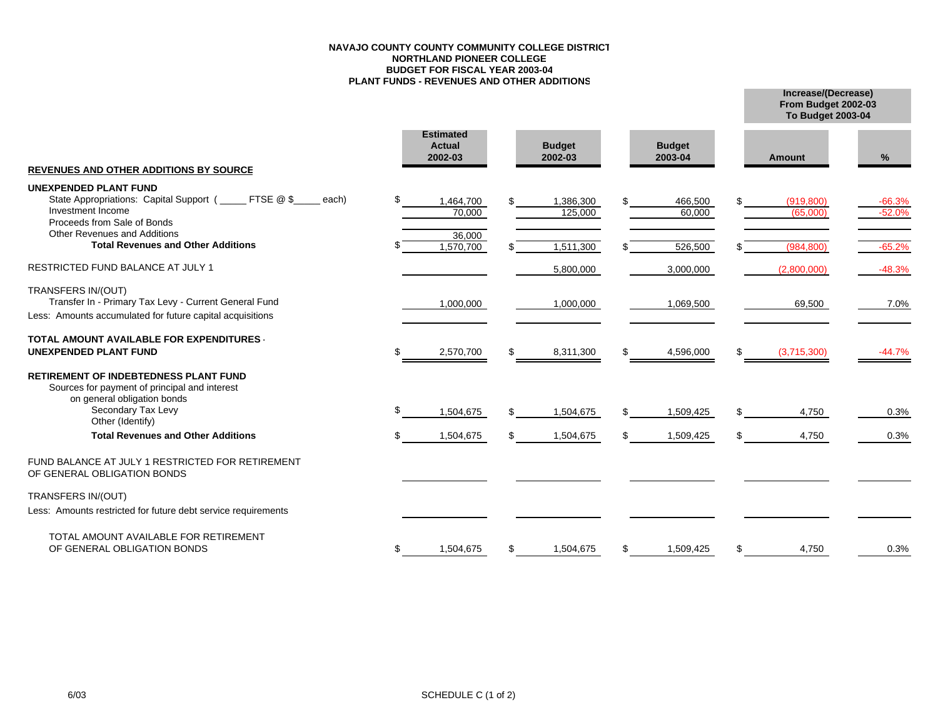#### **NAVAJO COUNTY COUNTY COMMUNITY COLLEGE DISTRICTNORTHLAND PIONEER COLLEGE BUDGET FOR FISCAL YEAR 2003-04 PLANT FUNDS - REVENUES AND OTHER ADDITIONS**

**Increase/(Decrease) To Budget 2003-04 From Budget 2002-03**

| <b>REVENUES AND OTHER ADDITIONS BY SOURCE</b>                                                                                                                   |     | <b>Estimated</b><br><b>Actual</b><br>2002-03 | <b>Budget</b><br>2002-03 |     | <b>Budget</b><br>2003-04 |     | <b>Amount</b>          | %                    |
|-----------------------------------------------------------------------------------------------------------------------------------------------------------------|-----|----------------------------------------------|--------------------------|-----|--------------------------|-----|------------------------|----------------------|
| <b>UNEXPENDED PLANT FUND</b><br>State Appropriations: Capital Support (<br>FTSE @ \$<br>each)<br>Investment Income<br>Proceeds from Sale of Bonds               | \$. | 1,464,700<br>70,000                          | 1,386,300<br>125,000     | \$. | 466,500<br>60,000        | \$. | (919, 800)<br>(65,000) | $-66.3%$<br>$-52.0%$ |
| <b>Other Revenues and Additions</b><br><b>Total Revenues and Other Additions</b>                                                                                |     | 36,000<br>1,570,700                          | 1,511,300                |     | 526,500                  |     | (984, 800)             | $-65.2%$             |
| RESTRICTED FUND BALANCE AT JULY 1                                                                                                                               |     |                                              | 5,800,000                |     | 3,000,000                |     | (2,800,000)            | $-48.3%$             |
| TRANSFERS IN/(OUT)<br>Transfer In - Primary Tax Levy - Current General Fund<br>Less: Amounts accumulated for future capital acquisitions                        |     | 1,000,000                                    | 1,000,000                |     | 1,069,500                |     | 69,500                 | 7.0%                 |
| <b>TOTAL AMOUNT AVAILABLE FOR EXPENDITURES</b><br><b>UNEXPENDED PLANT FUND</b>                                                                                  |     | 2,570,700                                    | \$<br>8,311,300          | \$  | 4,596,000                | \$  | (3,715,300)            | $-44.7%$             |
| RETIREMENT OF INDEBTEDNESS PLANT FUND<br>Sources for payment of principal and interest<br>on general obligation bonds<br>Secondary Tax Levy<br>Other (Identify) |     | 1,504,675                                    | 1,504,675                | \$. | 1,509,425                | \$  | 4,750                  | 0.3%                 |
| <b>Total Revenues and Other Additions</b>                                                                                                                       |     | 1,504,675                                    | 1,504,675                | \$  | 1,509,425                | \$  | 4,750                  | 0.3%                 |
| FUND BALANCE AT JULY 1 RESTRICTED FOR RETIREMENT<br>OF GENERAL OBLIGATION BONDS                                                                                 |     |                                              |                          |     |                          |     |                        |                      |
| TRANSFERS IN/(OUT)                                                                                                                                              |     |                                              |                          |     |                          |     |                        |                      |
| Less: Amounts restricted for future debt service requirements                                                                                                   |     |                                              |                          |     |                          |     |                        |                      |
| TOTAL AMOUNT AVAILABLE FOR RETIREMENT<br>OF GENERAL OBLIGATION BONDS                                                                                            | \$  | 1,504,675                                    | 1,504,675                | \$  | 1,509,425                | \$  | 4,750                  | 0.3%                 |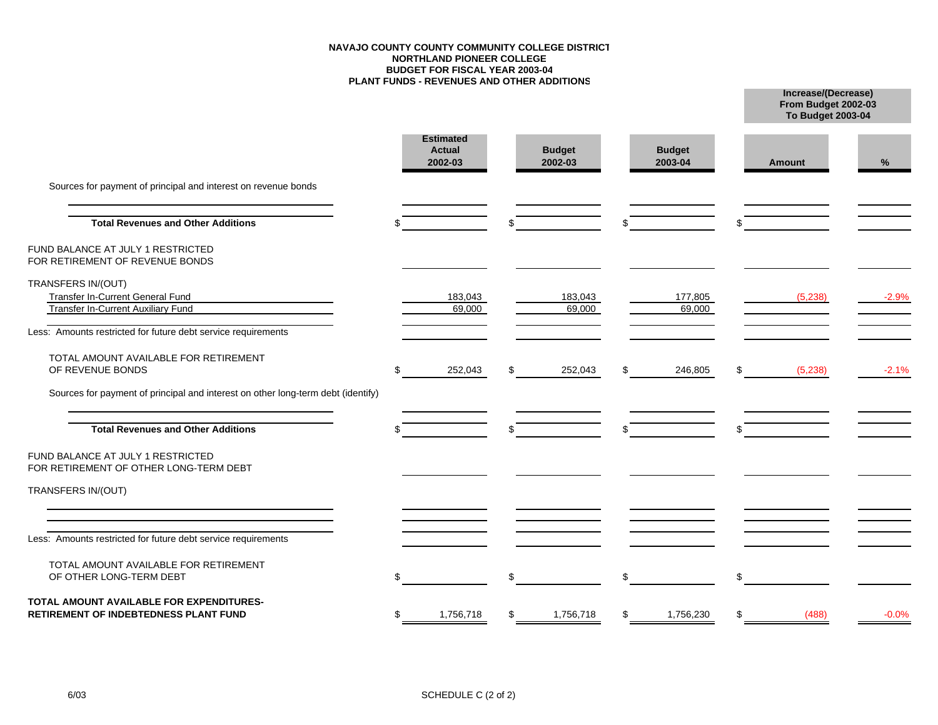#### **NAVAJO COUNTY COUNTY COMMUNITY COLLEGE DISTRICTNORTHLAND PIONEER COLLEGE BUDGET FOR FISCAL YEAR 2003-04 PLANT FUNDS - REVENUES AND OTHER ADDITIONS**

**From Budget 2002-03 To Budget 2003-04**

|                                                                                              |   | <b>Estimated</b><br><b>Actual</b><br>2002-03 | <b>Budget</b><br>2002-03 |              | <b>Budget</b><br>2003-04 |     | Amount  | %       |
|----------------------------------------------------------------------------------------------|---|----------------------------------------------|--------------------------|--------------|--------------------------|-----|---------|---------|
| Sources for payment of principal and interest on revenue bonds                               |   |                                              |                          |              |                          |     |         |         |
| <b>Total Revenues and Other Additions</b>                                                    |   |                                              |                          | \$           |                          |     |         |         |
| FUND BALANCE AT JULY 1 RESTRICTED<br>FOR RETIREMENT OF REVENUE BONDS                         |   |                                              |                          |              |                          |     |         |         |
| TRANSFERS IN/(OUT)<br>Transfer In-Current General Fund<br>Transfer In-Current Auxiliary Fund |   | 183,043<br>69,000                            | 183,043<br>69,000        |              | 177,805<br>69,000        |     | (5,238) | $-2.9%$ |
| Less: Amounts restricted for future debt service requirements                                |   |                                              |                          |              |                          |     |         |         |
| TOTAL AMOUNT AVAILABLE FOR RETIREMENT<br>OF REVENUE BONDS                                    | S | 252,043                                      | 252,043                  | \$           | 246,805                  | S   | (5,238) | $-2.1%$ |
| Sources for payment of principal and interest on other long-term debt (identify)             |   |                                              |                          |              |                          |     |         |         |
| <b>Total Revenues and Other Additions</b>                                                    |   |                                              |                          | $\mathbb{S}$ |                          |     |         |         |
| FUND BALANCE AT JULY 1 RESTRICTED<br>FOR RETIREMENT OF OTHER LONG-TERM DEBT                  |   |                                              |                          |              |                          |     |         |         |
| TRANSFERS IN/(OUT)                                                                           |   |                                              |                          |              |                          |     |         |         |
| Less: Amounts restricted for future debt service requirements                                |   |                                              |                          |              |                          |     |         |         |
| TOTAL AMOUNT AVAILABLE FOR RETIREMENT<br>OF OTHER LONG-TERM DEBT                             |   |                                              | \$                       | \$           |                          | \$  |         |         |
| TOTAL AMOUNT AVAILABLE FOR EXPENDITURES-<br>RETIREMENT OF INDEBTEDNESS PLANT FUND            |   | 1,756,718                                    | 1,756,718                | \$           | 1,756,230                | \$. | (488)   | $-0.0%$ |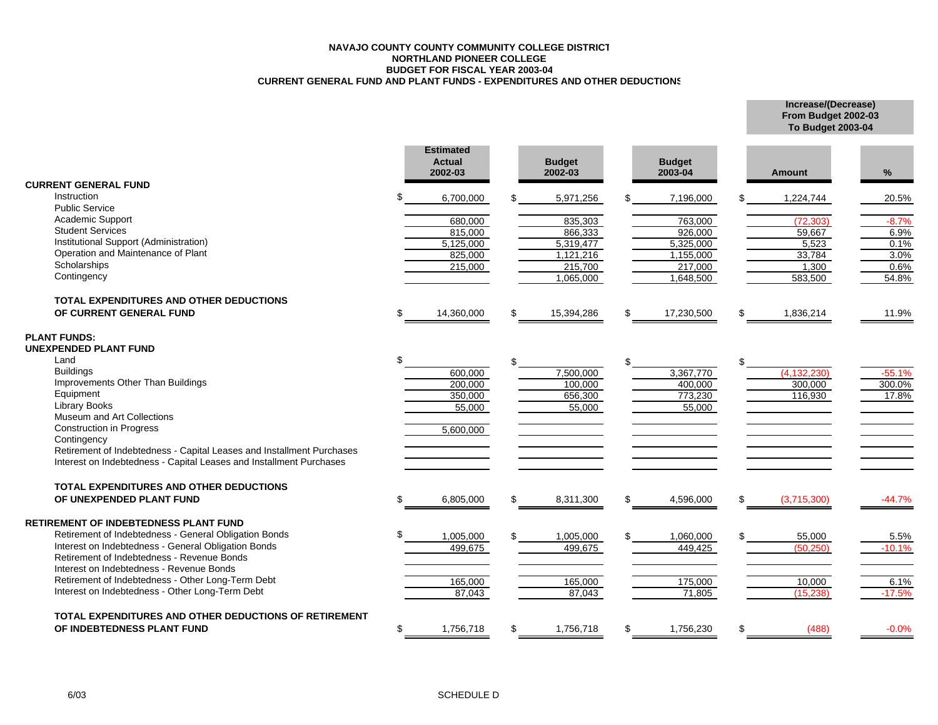#### **NAVAJO COUNTY COUNTY COMMUNITY COLLEGE DISTRICTNORTHLAND PIONEER COLLEGE BUDGET FOR FISCAL YEAR 2003-04 CURRENT GENERAL FUND AND PLANT FUNDS - EXPENDITURES AND OTHER DEDUCTIONS**

**Increase/(Decrease) From Budget 2002-03 To Budget 2003-04**

|                                                                       |     | <b>Estimated</b><br><b>Actual</b><br>2002-03 |    | <b>Budget</b><br>2002-03 | <b>Budget</b><br>2003-04 |     | <b>Amount</b> | %               |
|-----------------------------------------------------------------------|-----|----------------------------------------------|----|--------------------------|--------------------------|-----|---------------|-----------------|
| <b>CURRENT GENERAL FUND</b>                                           |     |                                              |    |                          |                          |     |               |                 |
| Instruction<br><b>Public Service</b>                                  |     | 6,700,000                                    |    | 5,971,256                | 7,196,000                |     | 1,224,744     | 20.5%           |
| Academic Support                                                      |     |                                              |    | 835,303                  | 763,000                  |     | (72.303)      |                 |
| <b>Student Services</b>                                               |     | 680,000<br>815,000                           |    | 866,333                  | 926,000                  |     | 59,667        | $-8.7%$<br>6.9% |
| Institutional Support (Administration)                                |     | 5,125,000                                    |    | 5.319.477                | 5,325,000                |     | 5,523         | 0.1%            |
| Operation and Maintenance of Plant                                    |     | 825,000                                      |    | 1,121,216                | 1,155,000                |     | 33,784        | 3.0%            |
| Scholarships                                                          |     | 215,000                                      |    | 215,700                  | 217,000                  |     | 1,300         | 0.6%            |
| Contingency                                                           |     |                                              |    | 1,065,000                | 1,648,500                |     | 583,500       | 54.8%           |
| TOTAL EXPENDITURES AND OTHER DEDUCTIONS                               |     |                                              |    |                          |                          |     |               |                 |
| OF CURRENT GENERAL FUND                                               | \$. | 14,360,000                                   | £. | 15,394,286               | \$<br>17,230,500         | \$  | 1,836,214     | 11.9%           |
| <b>PLANT FUNDS:</b>                                                   |     |                                              |    |                          |                          |     |               |                 |
| UNEXPENDED PLANT FUND                                                 |     |                                              |    |                          |                          |     |               |                 |
| Land                                                                  |     |                                              |    |                          | \$                       | \$. |               |                 |
| <b>Buildings</b>                                                      |     | 600,000                                      |    | 7,500,000                | 3,367,770                |     | (4.132.230)   | $-55.1%$        |
| Improvements Other Than Buildings                                     |     | 200,000                                      |    | 100,000                  | 400,000                  |     | 300,000       | 300.0%          |
| Equipment                                                             |     | 350,000                                      |    | 656,300                  | 773,230                  |     | 116,930       | 17.8%           |
| <b>Library Books</b><br>Museum and Art Collections                    |     | 55,000                                       |    | 55,000                   | 55,000                   |     |               |                 |
| <b>Construction in Progress</b>                                       |     |                                              |    |                          |                          |     |               |                 |
| Contingency                                                           |     | 5,600,000                                    |    |                          |                          |     |               |                 |
| Retirement of Indebtedness - Capital Leases and Installment Purchases |     |                                              |    |                          |                          |     |               |                 |
| Interest on Indebtedness - Capital Leases and Installment Purchases   |     |                                              |    |                          |                          |     |               |                 |
| <b>TOTAL EXPENDITURES AND OTHER DEDUCTIONS</b>                        |     |                                              |    |                          |                          |     |               |                 |
| OF UNEXPENDED PLANT FUND                                              | \$. | 6,805,000                                    |    | 8,311,300                | \$<br>4,596,000          | \$  | (3,715,300)   | $-44.7%$        |
| <b>RETIREMENT OF INDEBTEDNESS PLANT FUND</b>                          |     |                                              |    |                          |                          |     |               |                 |
| Retirement of Indebtedness - General Obligation Bonds                 |     | 1,005,000                                    |    | 1,005,000                | 1,060,000                |     | 55,000        | 5.5%            |
| Interest on Indebtedness - General Obligation Bonds                   |     | 499,675                                      |    | 499,675                  | 449,425                  |     | (50, 250)     | $-10.1%$        |
| Retirement of Indebtedness - Revenue Bonds                            |     |                                              |    |                          |                          |     |               |                 |
| Interest on Indebtedness - Revenue Bonds                              |     |                                              |    |                          |                          |     |               |                 |
| Retirement of Indebtedness - Other Long-Term Debt                     |     | 165,000                                      |    | 165,000                  | 175,000                  |     | 10,000        | 6.1%            |
| Interest on Indebtedness - Other Long-Term Debt                       |     | 87,043                                       |    | 87,043                   | 71,805                   |     | (15, 238)     | $-17.5%$        |
| TOTAL EXPENDITURES AND OTHER DEDUCTIONS OF RETIREMENT                 |     |                                              |    |                          |                          |     |               |                 |
| OF INDEBTEDNESS PLANT FUND                                            | \$  | 1,756,718                                    |    | 1,756,718                | \$<br>1,756,230          | \$  | (488)         | $-0.0%$         |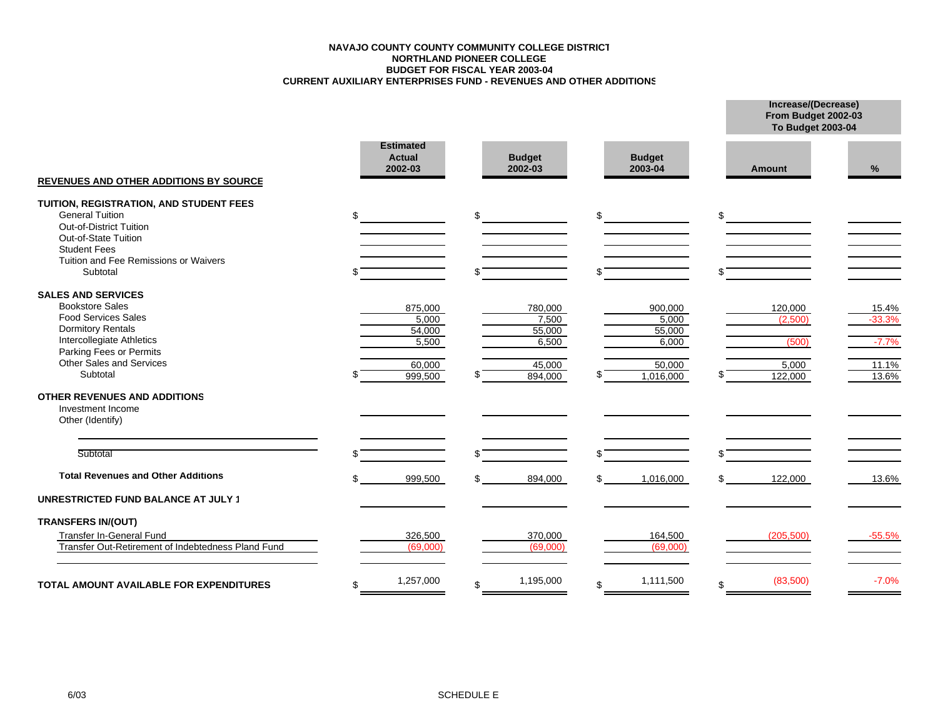#### **CURRENT AUXILIARY ENTERPRISES FUND - REVENUES AND OTHER ADDITIONS BUDGET FOR FISCAL YEAR 2003-04 NORTHLAND PIONEER COLLEGE NAVAJO COUNTY COUNTY COMMUNITY COLLEGE DISTRICT**

|                                                                                                                                                                                                               |                                                          |                                                          |                                                            |                                                 | From Budget 2002-03<br><b>To Budget 2003-04</b> |  |  |  |
|---------------------------------------------------------------------------------------------------------------------------------------------------------------------------------------------------------------|----------------------------------------------------------|----------------------------------------------------------|------------------------------------------------------------|-------------------------------------------------|-------------------------------------------------|--|--|--|
| <b>REVENUES AND OTHER ADDITIONS BY SOURCE</b>                                                                                                                                                                 | <b>Estimated</b><br><b>Actual</b><br>2002-03             | <b>Budget</b><br>2002-03                                 | <b>Budget</b><br>2003-04                                   | Amount                                          | %                                               |  |  |  |
| TUITION, REGISTRATION, AND STUDENT FEES<br><b>General Tuition</b><br><b>Out-of-District Tuition</b><br>Out-of-State Tuition<br><b>Student Fees</b><br>Tuition and Fee Remissions or Waivers<br>Subtotal       |                                                          | \$                                                       | \$                                                         | \$                                              |                                                 |  |  |  |
| <b>SALES AND SERVICES</b><br><b>Bookstore Sales</b><br><b>Food Services Sales</b><br><b>Dormitory Rentals</b><br>Intercollegiate Athletics<br>Parking Fees or Permits<br>Other Sales and Services<br>Subtotal | 875,000<br>5.000<br>54,000<br>5,500<br>60,000<br>999,500 | 780,000<br>7,500<br>55,000<br>6,500<br>45,000<br>894,000 | 900,000<br>5,000<br>55,000<br>6,000<br>50,000<br>1,016,000 | 120,000<br>(2.500)<br>(500)<br>5,000<br>122,000 | 15.4%<br>$-33.3%$<br>$-7.7%$<br>11.1%<br>13.6%  |  |  |  |
| <b>OTHER REVENUES AND ADDITIONS</b><br>Investment Income<br>Other (Identify)                                                                                                                                  |                                                          |                                                          |                                                            |                                                 |                                                 |  |  |  |
| Subtotal                                                                                                                                                                                                      |                                                          |                                                          |                                                            |                                                 |                                                 |  |  |  |
| <b>Total Revenues and Other Additions</b><br><b>UNRESTRICTED FUND BALANCE AT JULY 1</b>                                                                                                                       | 999,500                                                  | 894,000                                                  | 1,016,000                                                  | 122,000                                         | 13.6%                                           |  |  |  |
| <b>TRANSFERS IN/(OUT)</b><br>Transfer In-General Fund<br>Transfer Out-Retirement of Indebtedness Pland Fund                                                                                                   | 326,500<br>(69,000)                                      | 370,000<br>(69,000)                                      | 164,500<br>(69,000)                                        | (205, 500)                                      | $-55.5%$                                        |  |  |  |
| <b>TOTAL AMOUNT AVAILABLE FOR EXPENDITURES</b>                                                                                                                                                                | 1,257,000<br>\$                                          | 1,195,000<br>\$                                          | 1,111,500<br>\$.                                           | (83,500)<br>\$                                  | $-7.0%$                                         |  |  |  |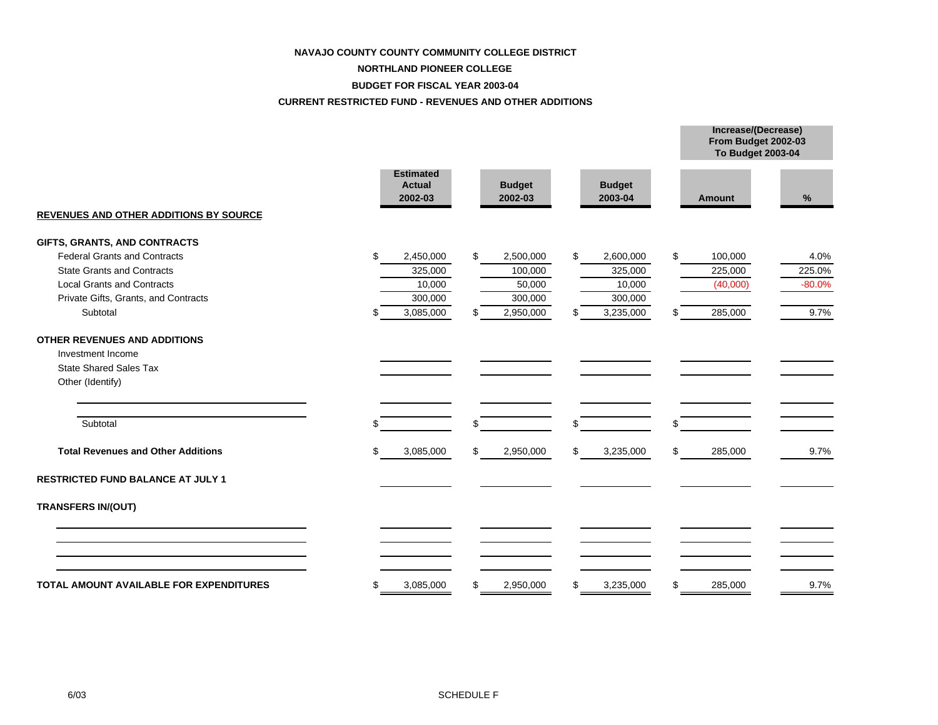#### **NAVAJO COUNTY COUNTY COMMUNITY COLLEGE DISTRICT**

### **NORTHLAND PIONEER COLLEGE**

#### **BUDGET FOR FISCAL YEAR 2003-04**

#### **CURRENT RESTRICTED FUND - REVENUES AND OTHER ADDITIONS**

|                                                |                                              |           |                          |           |                          |    | From Budget 2002-03<br>To Budget 2003-04 |          |  |
|------------------------------------------------|----------------------------------------------|-----------|--------------------------|-----------|--------------------------|----|------------------------------------------|----------|--|
| <b>REVENUES AND OTHER ADDITIONS BY SOURCE</b>  | <b>Estimated</b><br><b>Actual</b><br>2002-03 |           | <b>Budget</b><br>2002-03 |           | <b>Budget</b><br>2003-04 |    | Amount                                   | %        |  |
| GIFTS, GRANTS, AND CONTRACTS                   |                                              |           |                          |           |                          |    |                                          |          |  |
| <b>Federal Grants and Contracts</b>            | \$                                           | 2,450,000 | \$                       | 2,500,000 | \$<br>2,600,000          | \$ | 100,000                                  | 4.0%     |  |
| <b>State Grants and Contracts</b>              |                                              | 325,000   |                          | 100,000   | 325,000                  |    | 225,000                                  | 225.0%   |  |
| <b>Local Grants and Contracts</b>              |                                              | 10,000    |                          | 50,000    | 10,000                   |    | (40,000)                                 | $-80.0%$ |  |
| Private Gifts, Grants, and Contracts           |                                              | 300,000   |                          | 300,000   | 300,000                  |    |                                          |          |  |
| Subtotal                                       | .ፍ                                           | 3,085,000 | £.                       | 2,950,000 | \$<br>3,235,000          | \$ | 285,000                                  | 9.7%     |  |
| OTHER REVENUES AND ADDITIONS                   |                                              |           |                          |           |                          |    |                                          |          |  |
| Investment Income                              |                                              |           |                          |           |                          |    |                                          |          |  |
| <b>State Shared Sales Tax</b>                  |                                              |           |                          |           |                          |    |                                          |          |  |
| Other (Identify)                               |                                              |           |                          |           |                          |    |                                          |          |  |
| Subtotal                                       |                                              |           |                          |           | \$                       | \$ |                                          |          |  |
| <b>Total Revenues and Other Additions</b>      | \$                                           | 3,085,000 | \$                       | 2,950,000 | \$<br>3,235,000          | \$ | 285,000                                  | 9.7%     |  |
| <b>RESTRICTED FUND BALANCE AT JULY 1</b>       |                                              |           |                          |           |                          |    |                                          |          |  |
| <b>TRANSFERS IN/(OUT)</b>                      |                                              |           |                          |           |                          |    |                                          |          |  |
|                                                |                                              |           |                          |           |                          |    |                                          |          |  |
|                                                |                                              |           |                          |           |                          |    |                                          |          |  |
| <b>TOTAL AMOUNT AVAILABLE FOR EXPENDITURES</b> | \$                                           | 3,085,000 | S                        | 2,950,000 | \$<br>3,235,000          | \$ | 285,000                                  | 9.7%     |  |